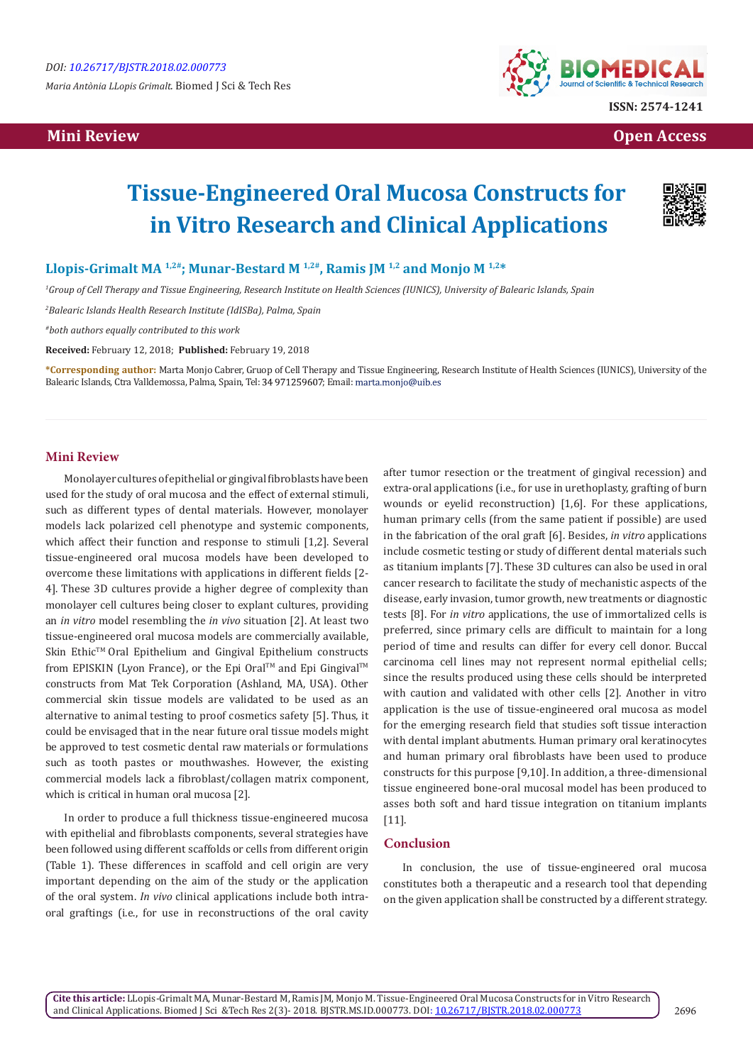*Maria Antònia LLopis Grimalt.* Biomed J Sci & Tech Res

# **Mini Review Open Access**



# **Tissue-Engineered Oral Mucosa Constructs for in Vitro Research and Clinical Applications**



## Llopis-Grimalt MA<sup>1,2#</sup>; Munar-Bestard M<sup>1,2#</sup>, Ramis JM<sup>1,2</sup> and Monjo M<sup>1,2\*</sup>

*1 Group of Cell Therapy and Tissue Engineering, Research Institute on Health Sciences (IUNICS), University of Balearic Islands, Spain*

*2 Balearic Islands Health Research Institute (IdISBa), Palma, Spain*

*#both authors equally contributed to this work*

**Received:** February 12, 2018; **Published:** February 19, 2018

**\*Corresponding author:** Marta Monjo Cabrer, Gruop of Cell Therapy and Tissue Engineering, Research Institute of Health Sciences (IUNICS), University of the Balearic Islands, Ctra Valldemossa, Palma, Spain, Tel: 34 971259607; Email: marta.monjo@uib.es

#### **Mini Review**

Monolayer cultures of epithelial or gingival fibroblasts have been used for the study of oral mucosa and the effect of external stimuli, such as different types of dental materials. However, monolayer models lack polarized cell phenotype and systemic components, which affect their function and response to stimuli [1,2]. Several tissue-engineered oral mucosa models have been developed to overcome these limitations with applications in different fields [2- 4]. These 3D cultures provide a higher degree of complexity than monolayer cell cultures being closer to explant cultures, providing an *in vitro* model resembling the *in vivo* situation [2]. At least two tissue-engineered oral mucosa models are commercially available, Skin Ethic™ Oral Epithelium and Gingival Epithelium constructs from EPISKIN (Lyon France), or the Epi Oral™ and Epi Gingival™ constructs from Mat Tek Corporation (Ashland, MA, USA). Other commercial skin tissue models are validated to be used as an alternative to animal testing to proof cosmetics safety [5]. Thus, it could be envisaged that in the near future oral tissue models might be approved to test cosmetic dental raw materials or formulations such as tooth pastes or mouthwashes. However, the existing commercial models lack a fibroblast/collagen matrix component, which is critical in human oral mucosa [2].

In order to produce a full thickness tissue-engineered mucosa with epithelial and fibroblasts components, several strategies have been followed using different scaffolds or cells from different origin (Table 1). These differences in scaffold and cell origin are very important depending on the aim of the study or the application of the oral system. *In vivo* clinical applications include both intraoral graftings (i.e., for use in reconstructions of the oral cavity after tumor resection or the treatment of gingival recession) and extra-oral applications (i.e., for use in urethoplasty, grafting of burn wounds or eyelid reconstruction) [1,6]. For these applications, human primary cells (from the same patient if possible) are used in the fabrication of the oral graft [6]. Besides, *in vitro* applications include cosmetic testing or study of different dental materials such as titanium implants [7]. These 3D cultures can also be used in oral cancer research to facilitate the study of mechanistic aspects of the disease, early invasion, tumor growth, new treatments or diagnostic tests [8]. For *in vitro* applications, the use of immortalized cells is preferred, since primary cells are difficult to maintain for a long period of time and results can differ for every cell donor. Buccal carcinoma cell lines may not represent normal epithelial cells; since the results produced using these cells should be interpreted with caution and validated with other cells [2]. Another in vitro application is the use of tissue-engineered oral mucosa as model for the emerging research field that studies soft tissue interaction with dental implant abutments. Human primary oral keratinocytes and human primary oral fibroblasts have been used to produce constructs for this purpose [9,10]. In addition, a three-dimensional tissue engineered bone-oral mucosal model has been produced to asses both soft and hard tissue integration on titanium implants [11].

#### **Conclusion**

In conclusion, the use of tissue-engineered oral mucosa constitutes both a therapeutic and a research tool that depending on the given application shall be constructed by a different strategy.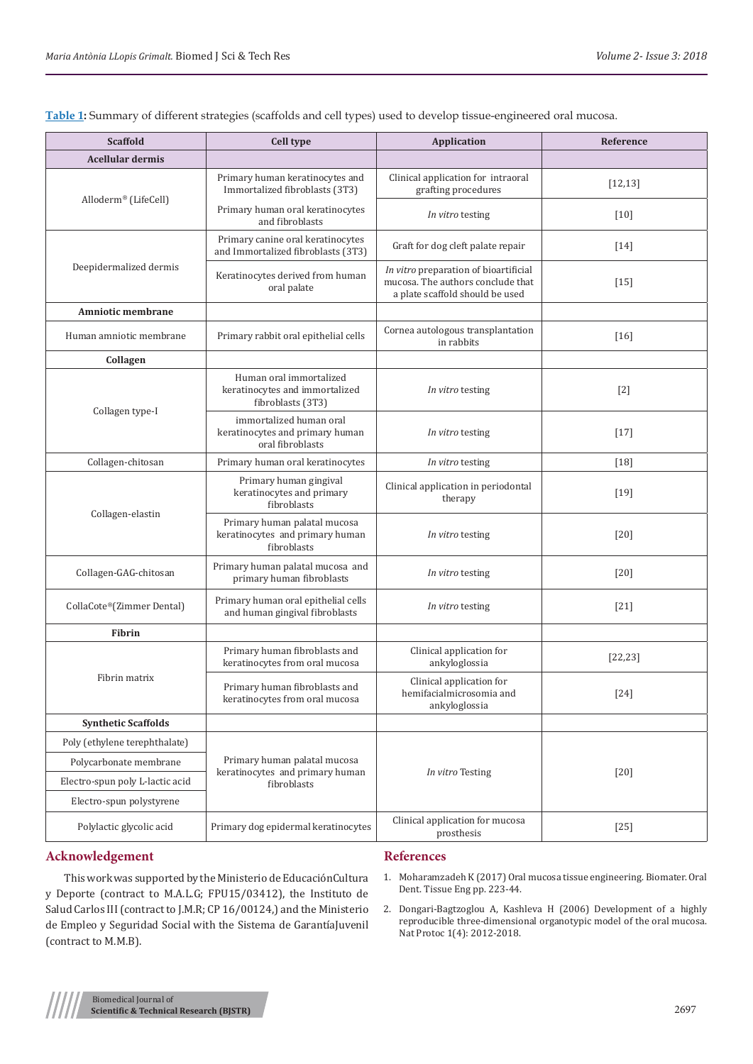| <b>Scaffold</b>                 | Cell type                                                                      | Application                                                                                                   | Reference          |
|---------------------------------|--------------------------------------------------------------------------------|---------------------------------------------------------------------------------------------------------------|--------------------|
| <b>Acellular dermis</b>         |                                                                                |                                                                                                               |                    |
| Alloderm® (LifeCell)            | Primary human keratinocytes and<br>Immortalized fibroblasts (3T3)              | Clinical application for intraoral<br>grafting procedures                                                     | [12, 13]           |
|                                 | Primary human oral keratinocytes<br>and fibroblasts                            | In vitro testing                                                                                              | $\lceil 10 \rceil$ |
| Deepidermalized dermis          | Primary canine oral keratinocytes<br>and Immortalized fibroblasts (3T3)        | Graft for dog cleft palate repair                                                                             | $[14]$             |
|                                 | Keratinocytes derived from human<br>oral palate                                | In vitro preparation of bioartificial<br>mucosa. The authors conclude that<br>a plate scaffold should be used | $[15]$             |
| Amniotic membrane               |                                                                                |                                                                                                               |                    |
| Human amniotic membrane         | Primary rabbit oral epithelial cells                                           | Cornea autologous transplantation<br>in rabbits                                                               | [16]               |
| Collagen                        |                                                                                |                                                                                                               |                    |
| Collagen type-I                 | Human oral immortalized<br>keratinocytes and immortalized<br>fibroblasts (3T3) | In vitro testing                                                                                              | $[2]$              |
|                                 | immortalized human oral<br>keratinocytes and primary human<br>oral fibroblasts | In vitro testing                                                                                              | $[17]$             |
| Collagen-chitosan               | Primary human oral keratinocytes                                               | In vitro testing                                                                                              | $[18]$             |
| Collagen-elastin                | Primary human gingival<br>keratinocytes and primary<br>fibroblasts             | Clinical application in periodontal<br>therapy                                                                | $[19]$             |
|                                 | Primary human palatal mucosa<br>keratinocytes and primary human<br>fibroblasts | In vitro testing                                                                                              | [20]               |
| Collagen-GAG-chitosan           | Primary human palatal mucosa and<br>primary human fibroblasts                  | In vitro testing                                                                                              | $[20]$             |
| CollaCote®(Zimmer Dental)       | Primary human oral epithelial cells<br>and human gingival fibroblasts          | In vitro testing                                                                                              | $[21]$             |
| <b>Fibrin</b>                   |                                                                                |                                                                                                               |                    |
| Fibrin matrix                   | Primary human fibroblasts and<br>keratinocytes from oral mucosa                | Clinical application for<br>ankyloglossia                                                                     | [22, 23]           |
|                                 | Primary human fibroblasts and<br>keratinocytes from oral mucosa                | Clinical application for<br>hemifacialmicrosomia and<br>ankyloglossia                                         | $[24]$             |
| <b>Synthetic Scaffolds</b>      |                                                                                |                                                                                                               |                    |
| Poly (ethylene terephthalate)   | Primary human palatal mucosa<br>keratinocytes and primary human<br>fibroblasts | In vitro Testing                                                                                              | $[20]$             |
| Polycarbonate membrane          |                                                                                |                                                                                                               |                    |
| Electro-spun poly L-lactic acid |                                                                                |                                                                                                               |                    |
| Electro-spun polystyrene        |                                                                                |                                                                                                               |                    |
| Polylactic glycolic acid        | Primary dog epidermal keratinocytes                                            | Clinical application for mucosa<br>prosthesis                                                                 | $[25]$             |

**Table 1:** Summary of different strategies (scaffolds and cell types) used to develop tissue-engineered oral mucosa.

## **Acknowledgement**

This work was supported by the Ministerio de EducaciónCultura y Deporte (contract to M.A.L.G; FPU15/03412), the Instituto de Salud Carlos III (contract to J.M.R; CP 16/00124,) and the Ministerio de Empleo y Seguridad Social with the Sistema de GarantíaJuvenil (contract to M.M.B).

# **References**

- 1. Moharamzadeh K (2017) Oral mucosa tissue engineering. Biomater. Oral Dent. Tissue Eng pp. 223-44.
- 2. [Dongari-Bagtzoglou A, Kashleva H \(2006\) Development of a highly](http://pubmedcentralcanada.ca/pmcc/articles/PMC2699620/) [reproducible three-dimensional organotypic model of the oral mucosa.](http://pubmedcentralcanada.ca/pmcc/articles/PMC2699620/) [Nat Protoc 1\(4\): 2012-2018.](http://pubmedcentralcanada.ca/pmcc/articles/PMC2699620/)